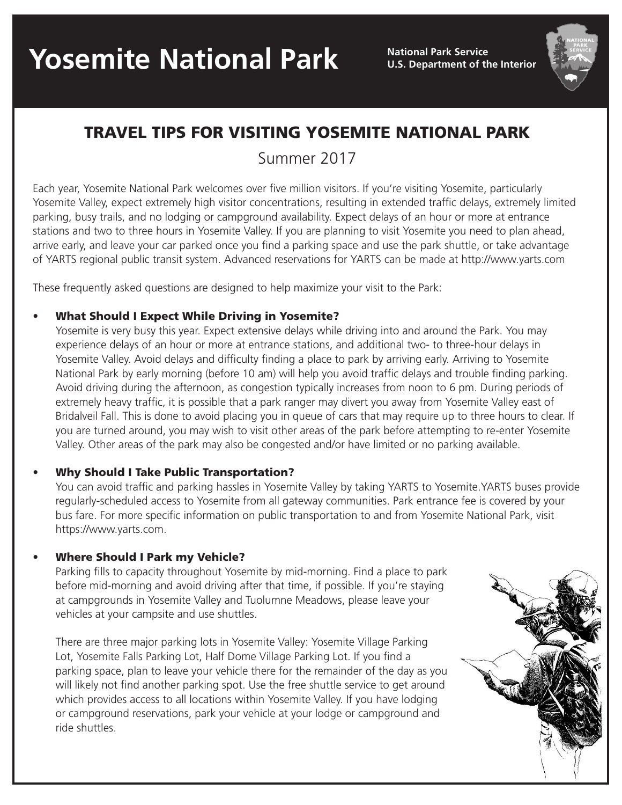**U.S. Department of the Interior**



## TRAVEL TIPS FOR VISITING YOSEMITE NATIONAL PARK

Summer 2017

Each year, Yosemite National Park welcomes over five million visitors. If you're visiting Yosemite, particularly Yosemite Valley, expect extremely high visitor concentrations, resulting in extended traffic delays, extremely limited parking, busy trails, and no lodging or campground availability. Expect delays of an hour or more at entrance stations and two to three hours in Yosemite Valley. If you are planning to visit Yosemite you need to plan ahead, arrive early, and leave your car parked once you find a parking space and use the park shuttle, or take advantage of YARTS regional public transit system. Advanced reservations for YARTS can be made at http://www.yarts.com

These frequently asked questions are designed to help maximize your visit to the Park:

#### **What Should I Expect While Driving in Yosemite?**

Yosemite is very busy this year. Expect extensive delays while driving into and around the Park. You may experience delays of an hour or more at entrance stations, and additional two- to three-hour delays in Yosemite Valley. Avoid delays and difficulty finding a place to park by arriving early. Arriving to Yosemite National Park by early morning (before 10 am) will help you avoid traffic delays and trouble finding parking. Avoid driving during the afternoon, as congestion typically increases from noon to 6 pm. During periods of extremely heavy traffic, it is possible that a park ranger may divert you away from Yosemite Valley east of Bridalveil Fall. This is done to avoid placing you in queue of cars that may require up to three hours to clear. If you are turned around, you may wish to visit other areas of the park before attempting to re-enter Yosemite Valley. Other areas of the park may also be congested and/or have limited or no parking available.

#### Why Should I Take Public Transportation?

You can avoid traffic and parking hassles in Yosemite Valley by taking YARTS to Yosemite.YARTS buses provide regularly-scheduled access to Yosemite from all gateway communities. Park entrance fee is covered by your bus fare. For more specific information on public transportation to and from Yosemite National Park, visit https://www.yarts.com.

#### Where Should I Park my Vehicle?

Parking fills to capacity throughout Yosemite by mid-morning. Find a place to park before mid-morning and avoid driving after that time, if possible. If you're staying at campgrounds in Yosemite Valley and Tuolumne Meadows, please leave your vehicles at your campsite and use shuttles.

There are three major parking lots in Yosemite Valley: Yosemite Village Parking Lot, Yosemite Falls Parking Lot, Half Dome Village Parking Lot. If you find a parking space, plan to leave your vehicle there for the remainder of the day as you will likely not find another parking spot. Use the free shuttle service to get around which provides access to all locations within Yosemite Valley. If you have lodging or campground reservations, park your vehicle at your lodge or campground and ride shuttles.